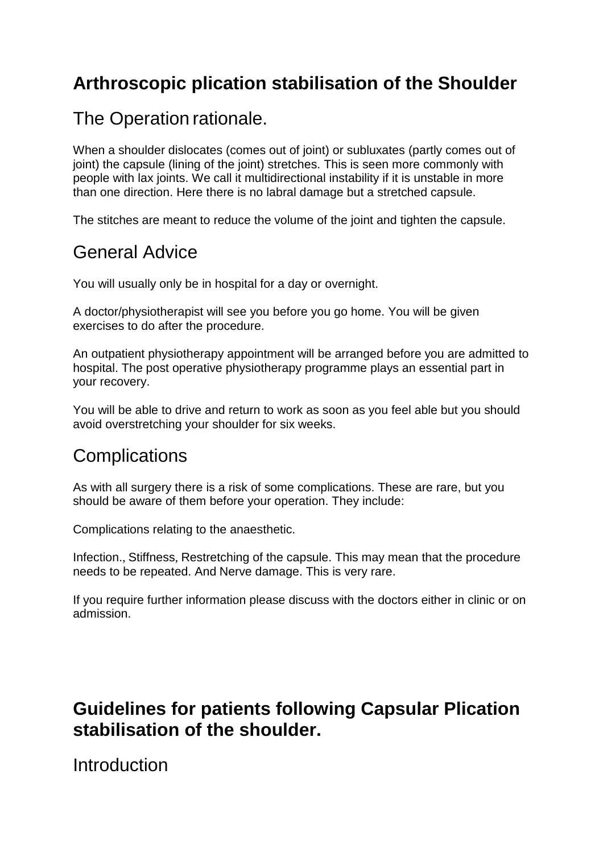# **Arthroscopic plication stabilisation of the Shoulder**

### The Operation rationale.

When a shoulder dislocates (comes out of joint) or subluxates (partly comes out of joint) the capsule (lining of the joint) stretches. This is seen more commonly with people with lax joints. We call it multidirectional instability if it is unstable in more than one direction. Here there is no labral damage but a stretched capsule.

The stitches are meant to reduce the volume of the joint and tighten the capsule.

### General Advice

You will usually only be in hospital for a day or overnight.

A doctor/physiotherapist will see you before you go home. You will be given exercises to do after the procedure.

An outpatient physiotherapy appointment will be arranged before you are admitted to hospital. The post operative physiotherapy programme plays an essential part in your recovery.

You will be able to drive and return to work as soon as you feel able but you should avoid overstretching your shoulder for six weeks.

# **Complications**

As with all surgery there is a risk of some complications. These are rare, but you should be aware of them before your operation. They include:

Complications relating to the anaesthetic.

Infection., Stiffness, Restretching of the capsule. This may mean that the procedure needs to be repeated. And Nerve damage. This is very rare.

If you require further information please discuss with the doctors either in clinic or on admission.

# **Guidelines for patients following Capsular Plication stabilisation of the shoulder.**

Introduction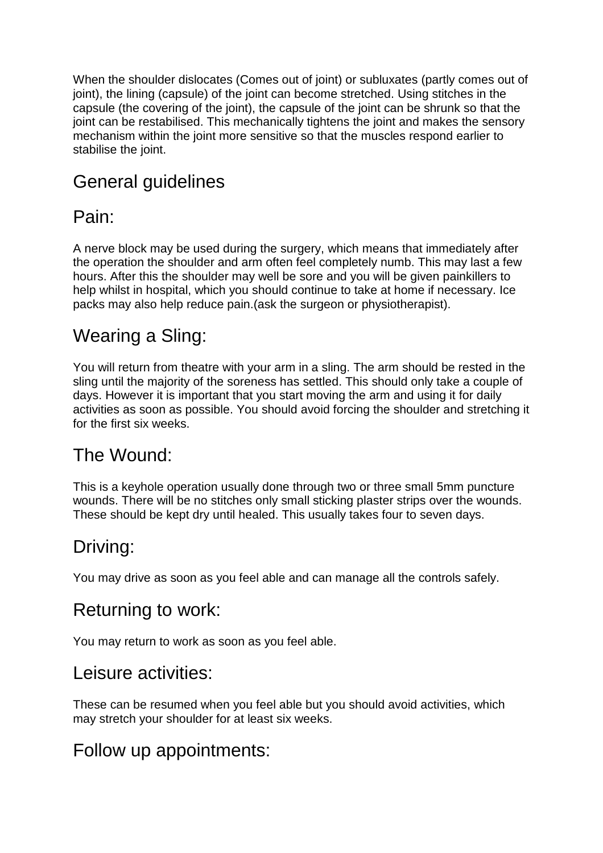When the shoulder dislocates (Comes out of joint) or subluxates (partly comes out of joint), the lining (capsule) of the joint can become stretched. Using stitches in the capsule (the covering of the joint), the capsule of the joint can be shrunk so that the joint can be restabilised. This mechanically tightens the joint and makes the sensory mechanism within the joint more sensitive so that the muscles respond earlier to stabilise the joint.

# General guidelines

# Pain:

A nerve block may be used during the surgery, which means that immediately after the operation the shoulder and arm often feel completely numb. This may last a few hours. After this the shoulder may well be sore and you will be given painkillers to help whilst in hospital, which you should continue to take at home if necessary. Ice packs may also help reduce pain.(ask the surgeon or physiotherapist).

### Wearing a Sling:

You will return from theatre with your arm in a sling. The arm should be rested in the sling until the majority of the soreness has settled. This should only take a couple of days. However it is important that you start moving the arm and using it for daily activities as soon as possible. You should avoid forcing the shoulder and stretching it for the first six weeks.

# The Wound:

This is a keyhole operation usually done through two or three small 5mm puncture wounds. There will be no stitches only small sticking plaster strips over the wounds. These should be kept dry until healed. This usually takes four to seven days.

# Driving:

You may drive as soon as you feel able and can manage all the controls safely.

# Returning to work:

You may return to work as soon as you feel able.

#### Leisure activities:

These can be resumed when you feel able but you should avoid activities, which may stretch your shoulder for at least six weeks.

# Follow up appointments: